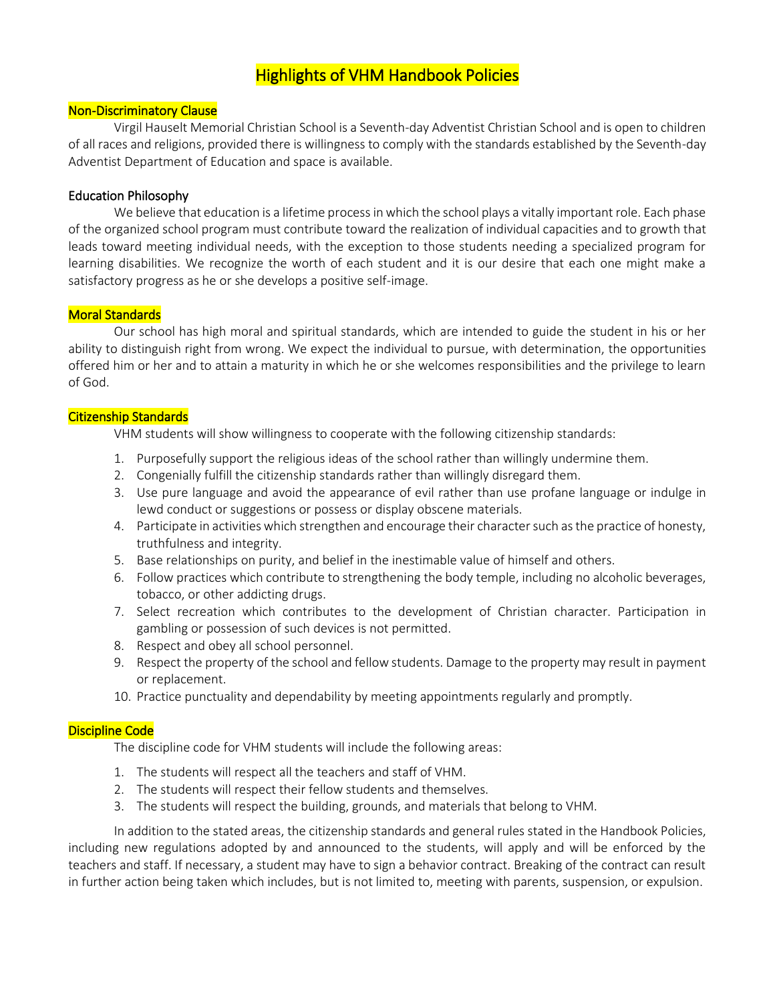# Highlights of VHM Handbook Policies

#### Non-Discriminatory Clause

Virgil Hauselt Memorial Christian School is a Seventh-day Adventist Christian School and is open to children of all races and religions, provided there is willingness to comply with the standards established by the Seventh-day Adventist Department of Education and space is available.

#### Education Philosophy

We believe that education is a lifetime process in which the school plays a vitally important role. Each phase of the organized school program must contribute toward the realization of individual capacities and to growth that leads toward meeting individual needs, with the exception to those students needing a specialized program for learning disabilities. We recognize the worth of each student and it is our desire that each one might make a satisfactory progress as he or she develops a positive self-image.

#### Moral Standards

Our school has high moral and spiritual standards, which are intended to guide the student in his or her ability to distinguish right from wrong. We expect the individual to pursue, with determination, the opportunities offered him or her and to attain a maturity in which he or she welcomes responsibilities and the privilege to learn of God.

#### Citizenship Standards

VHM students will show willingness to cooperate with the following citizenship standards:

- 1. Purposefully support the religious ideas of the school rather than willingly undermine them.
- 2. Congenially fulfill the citizenship standards rather than willingly disregard them.
- 3. Use pure language and avoid the appearance of evil rather than use profane language or indulge in lewd conduct or suggestions or possess or display obscene materials.
- 4. Participate in activities which strengthen and encourage their character such as the practice of honesty, truthfulness and integrity.
- 5. Base relationships on purity, and belief in the inestimable value of himself and others.
- 6. Follow practices which contribute to strengthening the body temple, including no alcoholic beverages, tobacco, or other addicting drugs.
- 7. Select recreation which contributes to the development of Christian character. Participation in gambling or possession of such devices is not permitted.
- 8. Respect and obey all school personnel.
- 9. Respect the property of the school and fellow students. Damage to the property may result in payment or replacement.
- 10. Practice punctuality and dependability by meeting appointments regularly and promptly.

### Discipline Code

The discipline code for VHM students will include the following areas:

- 1. The students will respect all the teachers and staff of VHM.
- 2. The students will respect their fellow students and themselves.
- 3. The students will respect the building, grounds, and materials that belong to VHM.

In addition to the stated areas, the citizenship standards and general rules stated in the Handbook Policies, including new regulations adopted by and announced to the students, will apply and will be enforced by the teachers and staff. If necessary, a student may have to sign a behavior contract. Breaking of the contract can result in further action being taken which includes, but is not limited to, meeting with parents, suspension, or expulsion.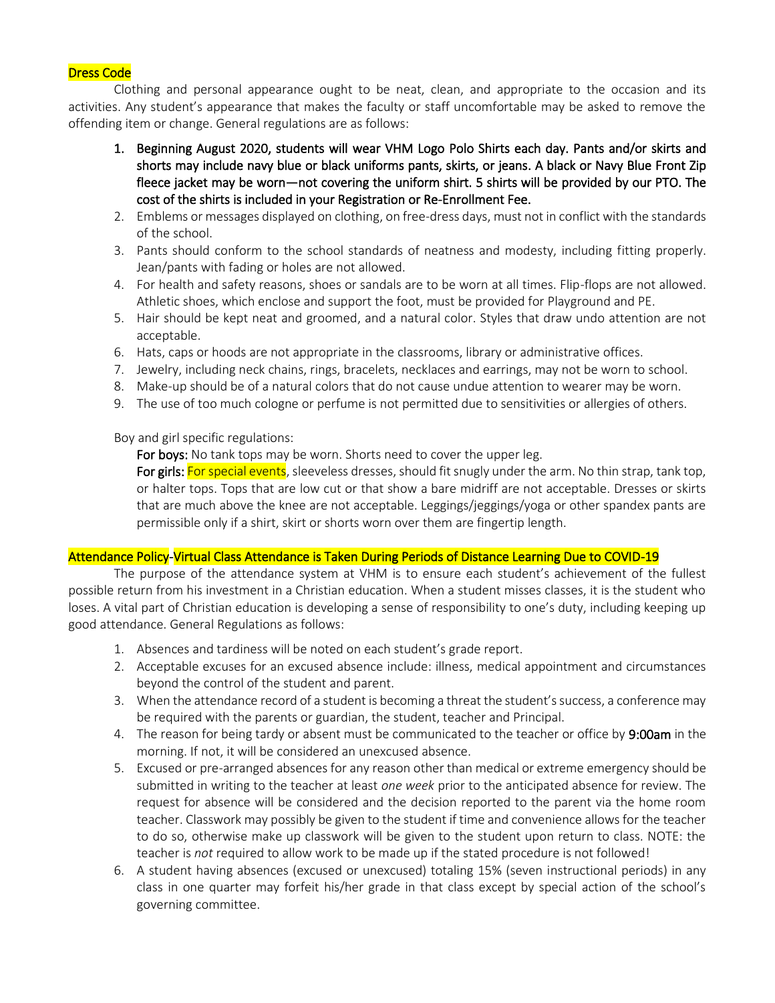#### Dress Code

Clothing and personal appearance ought to be neat, clean, and appropriate to the occasion and its activities. Any student's appearance that makes the faculty or staff uncomfortable may be asked to remove the offending item or change. General regulations are as follows:

- 1. Beginning August 2020, students will wear VHM Logo Polo Shirts each day. Pants and/or skirts and shorts may include navy blue or black uniforms pants, skirts, or jeans. A black or Navy Blue Front Zip fleece jacket may be worn—not covering the uniform shirt. 5 shirts will be provided by our PTO. The cost of the shirts is included in your Registration or Re-Enrollment Fee.
- 2. Emblems or messages displayed on clothing, on free-dress days, must not in conflict with the standards of the school.
- 3. Pants should conform to the school standards of neatness and modesty, including fitting properly. Jean/pants with fading or holes are not allowed.
- 4. For health and safety reasons, shoes or sandals are to be worn at all times. Flip-flops are not allowed. Athletic shoes, which enclose and support the foot, must be provided for Playground and PE.
- 5. Hair should be kept neat and groomed, and a natural color. Styles that draw undo attention are not acceptable.
- 6. Hats, caps or hoods are not appropriate in the classrooms, library or administrative offices.
- 7. Jewelry, including neck chains, rings, bracelets, necklaces and earrings, may not be worn to school.
- 8. Make-up should be of a natural colors that do not cause undue attention to wearer may be worn.
- 9. The use of too much cologne or perfume is not permitted due to sensitivities or allergies of others.

Boy and girl specific regulations:

For boys: No tank tops may be worn. Shorts need to cover the upper leg.

For girls: For special events, sleeveless dresses, should fit snugly under the arm. No thin strap, tank top, or halter tops. Tops that are low cut or that show a bare midriff are not acceptable. Dresses or skirts that are much above the knee are not acceptable. Leggings/jeggings/yoga or other spandex pants are permissible only if a shirt, skirt or shorts worn over them are fingertip length.

#### Attendance Policy-Virtual Class Attendance is Taken During Periods of Distance Learning Due to COVID-19

The purpose of the attendance system at VHM is to ensure each student's achievement of the fullest possible return from his investment in a Christian education. When a student misses classes, it is the student who loses. A vital part of Christian education is developing a sense of responsibility to one's duty, including keeping up good attendance. General Regulations as follows:

- 1. Absences and tardiness will be noted on each student's grade report.
- 2. Acceptable excuses for an excused absence include: illness, medical appointment and circumstances beyond the control of the student and parent.
- 3. When the attendance record of a student is becoming a threat the student's success, a conference may be required with the parents or guardian, the student, teacher and Principal.
- 4. The reason for being tardy or absent must be communicated to the teacher or office by 9:00am in the morning. If not, it will be considered an unexcused absence.
- 5. Excused or pre-arranged absences for any reason other than medical or extreme emergency should be submitted in writing to the teacher at least *one week* prior to the anticipated absence for review. The request for absence will be considered and the decision reported to the parent via the home room teacher. Classwork may possibly be given to the student if time and convenience allows for the teacher to do so, otherwise make up classwork will be given to the student upon return to class. NOTE: the teacher is *not* required to allow work to be made up if the stated procedure is not followed!
- 6. A student having absences (excused or unexcused) totaling 15% (seven instructional periods) in any class in one quarter may forfeit his/her grade in that class except by special action of the school's governing committee.